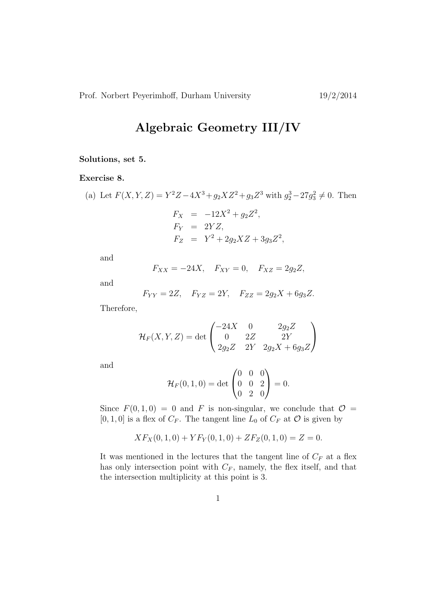## Algebraic Geometry III/IV

## Solutions, set 5.

## Exercise 8.

(a) Let 
$$
F(X, Y, Z) = Y^2 Z - 4X^3 + g_2 X Z^2 + g_3 Z^3
$$
 with  $g_2^3 - 27g_3^2 \neq 0$ . Then  
\n
$$
F_X = -12X^2 + g_2 Z^2,
$$
\n
$$
F_Y = 2YZ,
$$

$$
F_Z = Y^2 + 2g_2XZ + 3g_3Z^2,
$$

and

$$
F_{XX} = -24X, \quad F_{XY} = 0, \quad F_{XZ} = 2g_2Z,
$$

and

$$
F_{YY}=2Z, \quad F_{YZ}=2Y, \quad F_{ZZ}=2g_2X+6g_3Z.
$$

Therefore,

$$
\mathcal{H}_F(X, Y, Z) = \det \begin{pmatrix} -24X & 0 & 2g_2Z \\ 0 & 2Z & 2Y \\ 2g_2Z & 2Y & 2g_2X + 6g_3Z \end{pmatrix}
$$

and

$$
\mathcal{H}_F(0,1,0) = \det \begin{pmatrix} 0 & 0 & 0 \\ 0 & 0 & 2 \\ 0 & 2 & 0 \end{pmatrix} = 0.
$$

Since  $F(0, 1, 0) = 0$  and F is non-singular, we conclude that  $\mathcal{O} =$  $[0, 1, 0]$  is a flex of  $C_F$ . The tangent line  $L_0$  of  $C_F$  at  $\mathcal O$  is given by

$$
XF_X(0,1,0) + YF_Y(0,1,0) + ZF_Z(0,1,0) = Z = 0.
$$

It was mentioned in the lectures that the tangent line of  $C_F$  at a flex has only intersection point with  $C_F$ , namely, the flex itself, and that the intersection multiplicity at this point is 3.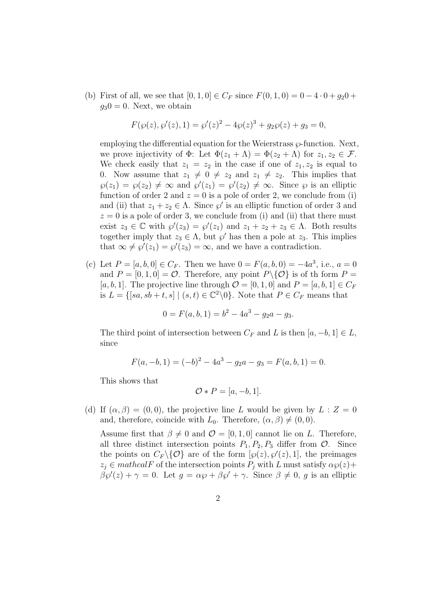(b) First of all, we see that  $[0, 1, 0] \in C_F$  since  $F(0, 1, 0) = 0 - 4 \cdot 0 + g_2 0 +$  $q_30 = 0$ . Next, we obtain

$$
F(\wp(z), \wp'(z), 1) = \wp'(z)^2 - 4\wp(z)^3 + g_2\wp(z) + g_3 = 0,
$$

employing the differential equation for the Weierstrass  $\wp$ -function. Next, we prove injectivity of  $\Phi$ : Let  $\Phi(z_1 + \Lambda) = \Phi(z_2 + \Lambda)$  for  $z_1, z_2 \in \mathcal{F}$ . We check easily that  $z_1 = z_2$  in the case if one of  $z_1, z_2$  is equal to 0. Now assume that  $z_1 \neq 0 \neq z_2$  and  $z_1 \neq z_2$ . This implies that  $\varphi(z_1) = \varphi(z_2) \neq \infty$  and  $\varphi'(z_1) = \varphi'(z_2) \neq \infty$ . Since  $\varphi$  is an elliptic function of order 2 and  $z = 0$  is a pole of order 2, we conclude from (i) and (ii) that  $z_1 + z_2 \in \Lambda$ . Since  $\wp'$  is an elliptic function of order 3 and  $z = 0$  is a pole of order 3, we conclude from (i) and (ii) that there must exist  $z_3 \in \mathbb{C}$  with  $\wp'(z_3) = \wp'(z_1)$  and  $z_1 + z_2 + z_3 \in \Lambda$ . Both results together imply that  $z_3 \in \Lambda$ , but  $\wp'$  has then a pole at  $z_3$ . This implies that  $\infty \neq \wp'(z_1) = \wp'(z_3) = \infty$ , and we have a contradiction.

(c) Let  $P = [a, b, 0] \in C_F$ . Then we have  $0 = F(a, b, 0) = -4a^3$ , i.e.,  $a = 0$ and  $P = [0, 1, 0] = \mathcal{O}$ . Therefore, any point  $P \setminus \{ \mathcal{O} \}$  is of the form  $P =$ [a, b, 1]. The projective line through  $\mathcal{O} = [0, 1, 0]$  and  $P = [a, b, 1] \in C_F$ is  $L = \{ [sa, sb+t, s] \mid (s, t) \in \mathbb{C}^2 \backslash 0 \}$ . Note that  $P \in C_F$  means that

$$
0 = F(a, b, 1) = b2 - 4a3 - g2a - g3.
$$

The third point of intersection between  $C_F$  and L is then  $[a, -b, 1] \in L$ , since

$$
F(a, -b, 1) = (-b)^2 - 4a^3 - g_2a - g_3 = F(a, b, 1) = 0.
$$

This shows that

$$
\mathcal{O} * P = [a, -b, 1].
$$

(d) If  $(\alpha, \beta) = (0, 0)$ , the projective line L would be given by  $L : Z = 0$ and, therefore, coincide with  $L_0$ . Therefore,  $(\alpha, \beta) \neq (0, 0)$ .

Assume first that  $\beta \neq 0$  and  $\mathcal{O} = [0, 1, 0]$  cannot lie on L. Therefore, all three distinct intersection points  $P_1, P_2, P_3$  differ from  $\mathcal{O}$ . Since the points on  $C_F \setminus \{ \mathcal{O} \}$  are of the form  $[\wp(z), \wp'(z), 1]$ , the preimages  $z_i \in \mathit{mathcalF}$  of the intersection points  $P_i$  with L must satisfy  $\alpha \wp(z)$ +  $\beta \mathfrak{g}'(z) + \gamma = 0$ . Let  $g = \alpha \mathfrak{g} + \beta \mathfrak{g}' + \gamma$ . Since  $\beta \neq 0$ , g is an elliptic